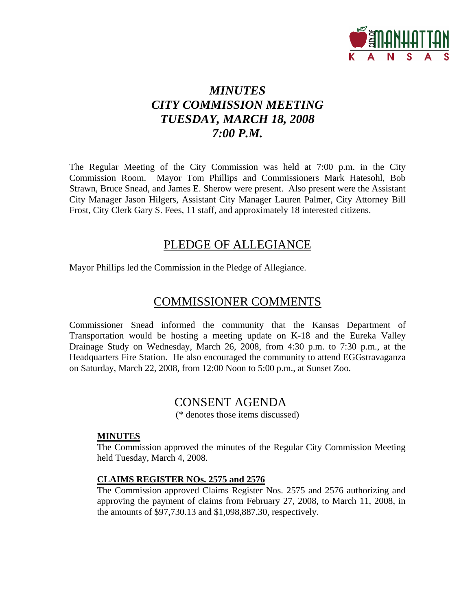

# *MINUTES CITY COMMISSION MEETING TUESDAY, MARCH 18, 2008 7:00 P.M.*

The Regular Meeting of the City Commission was held at 7:00 p.m. in the City Commission Room. Mayor Tom Phillips and Commissioners Mark Hatesohl, Bob Strawn, Bruce Snead, and James E. Sherow were present. Also present were the Assistant City Manager Jason Hilgers, Assistant City Manager Lauren Palmer, City Attorney Bill Frost, City Clerk Gary S. Fees, 11 staff, and approximately 18 interested citizens.

# PLEDGE OF ALLEGIANCE

Mayor Phillips led the Commission in the Pledge of Allegiance.

## COMMISSIONER COMMENTS

Commissioner Snead informed the community that the Kansas Department of Transportation would be hosting a meeting update on K-18 and the Eureka Valley Drainage Study on Wednesday, March 26, 2008, from 4:30 p.m. to 7:30 p.m., at the Headquarters Fire Station. He also encouraged the community to attend EGGstravaganza on Saturday, March 22, 2008, from 12:00 Noon to 5:00 p.m., at Sunset Zoo.

# CONSENT AGENDA

(\* denotes those items discussed)

## **MINUTES**

The Commission approved the minutes of the Regular City Commission Meeting held Tuesday, March 4, 2008.

## **CLAIMS REGISTER NOs. 2575 and 2576**

The Commission approved Claims Register Nos. 2575 and 2576 authorizing and approving the payment of claims from February 27, 2008, to March 11, 2008, in the amounts of \$97,730.13 and \$1,098,887.30, respectively.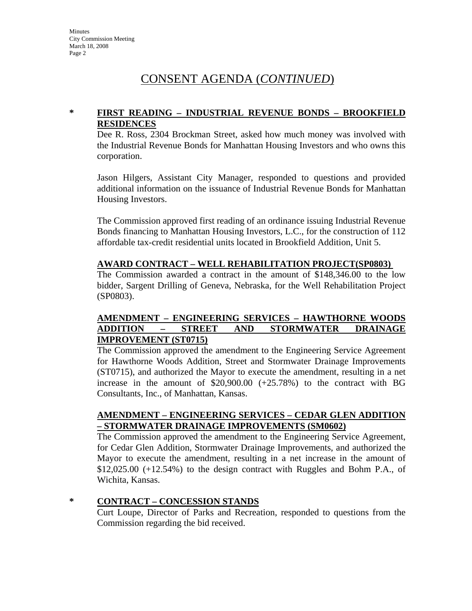## CONSENT AGENDA (*CONTINUED*)

## **\* FIRST READING – INDUSTRIAL REVENUE BONDS – BROOKFIELD RESIDENCES**

Dee R. Ross, 2304 Brockman Street, asked how much money was involved with the Industrial Revenue Bonds for Manhattan Housing Investors and who owns this corporation.

Jason Hilgers, Assistant City Manager, responded to questions and provided additional information on the issuance of Industrial Revenue Bonds for Manhattan Housing Investors.

The Commission approved first reading of an ordinance issuing Industrial Revenue Bonds financing to Manhattan Housing Investors, L.C., for the construction of 112 affordable tax-credit residential units located in Brookfield Addition, Unit 5.

#### **AWARD CONTRACT – WELL REHABILITATION PROJECT(SP0803)**

The Commission awarded a contract in the amount of \$148,346.00 to the low bidder, Sargent Drilling of Geneva, Nebraska, for the Well Rehabilitation Project (SP0803).

## **AMENDMENT – ENGINEERING SERVICES – HAWTHORNE WOODS ADDITION – STREET AND STORMWATER DRAINAGE IMPROVEMENT (ST0715)**

The Commission approved the amendment to the Engineering Service Agreement for Hawthorne Woods Addition, Street and Stormwater Drainage Improvements (ST0715), and authorized the Mayor to execute the amendment, resulting in a net increase in the amount of  $$20,900.00 (+25.78%)$  to the contract with BG Consultants, Inc., of Manhattan, Kansas.

## **AMENDMENT – ENGINEERING SERVICES – CEDAR GLEN ADDITION – STORMWATER DRAINAGE IMPROVEMENTS (SM0602)**

The Commission approved the amendment to the Engineering Service Agreement, for Cedar Glen Addition, Stormwater Drainage Improvements, and authorized the Mayor to execute the amendment, resulting in a net increase in the amount of  $$12,025.00$  (+12.54%) to the design contract with Ruggles and Bohm P.A., of Wichita, Kansas.

## **\* CONTRACT – CONCESSION STANDS**

Curt Loupe, Director of Parks and Recreation, responded to questions from the Commission regarding the bid received.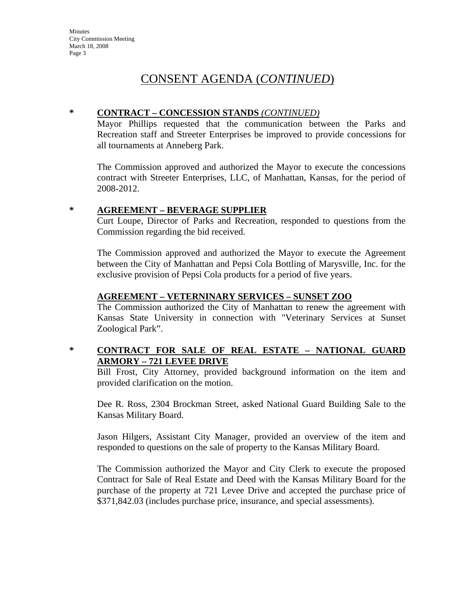## CONSENT AGENDA (*CONTINUED*)

#### **\* CONTRACT – CONCESSION STANDS** *(CONTINUED)*

Mayor Phillips requested that the communication between the Parks and Recreation staff and Streeter Enterprises be improved to provide concessions for all tournaments at Anneberg Park.

The Commission approved and authorized the Mayor to execute the concessions contract with Streeter Enterprises, LLC, of Manhattan, Kansas, for the period of 2008-2012.

## **\* AGREEMENT – BEVERAGE SUPPLIER**

Curt Loupe, Director of Parks and Recreation, responded to questions from the Commission regarding the bid received.

The Commission approved and authorized the Mayor to execute the Agreement between the City of Manhattan and Pepsi Cola Bottling of Marysville, Inc. for the exclusive provision of Pepsi Cola products for a period of five years.

#### **AGREEMENT – VETERNINARY SERVICES – SUNSET ZOO**

The Commission authorized the City of Manhattan to renew the agreement with Kansas State University in connection with "Veterinary Services at Sunset Zoological Park".

#### **\* CONTRACT FOR SALE OF REAL ESTATE – NATIONAL GUARD ARMORY – 721 LEVEE DRIVE**

Bill Frost, City Attorney, provided background information on the item and provided clarification on the motion.

Dee R. Ross, 2304 Brockman Street, asked National Guard Building Sale to the Kansas Military Board.

Jason Hilgers, Assistant City Manager, provided an overview of the item and responded to questions on the sale of property to the Kansas Military Board.

The Commission authorized the Mayor and City Clerk to execute the proposed Contract for Sale of Real Estate and Deed with the Kansas Military Board for the purchase of the property at 721 Levee Drive and accepted the purchase price of \$371,842.03 (includes purchase price, insurance, and special assessments).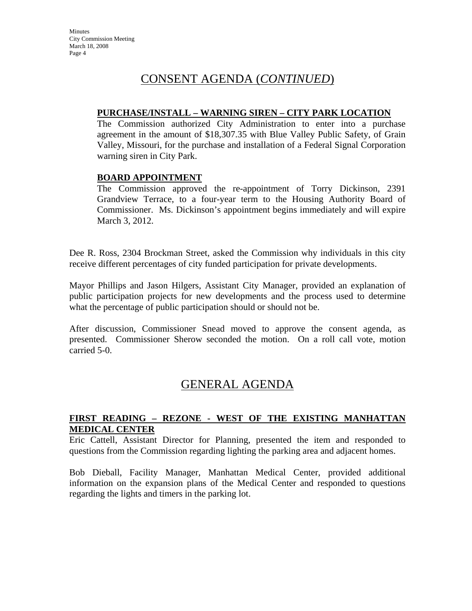## CONSENT AGENDA (*CONTINUED*)

#### **PURCHASE/INSTALL – WARNING SIREN – CITY PARK LOCATION**

The Commission authorized City Administration to enter into a purchase agreement in the amount of \$18,307.35 with Blue Valley Public Safety, of Grain Valley, Missouri, for the purchase and installation of a Federal Signal Corporation warning siren in City Park.

#### **BOARD APPOINTMENT**

The Commission approved the re-appointment of Torry Dickinson, 2391 Grandview Terrace, to a four-year term to the Housing Authority Board of Commissioner. Ms. Dickinson's appointment begins immediately and will expire March 3, 2012.

Dee R. Ross, 2304 Brockman Street, asked the Commission why individuals in this city receive different percentages of city funded participation for private developments.

Mayor Phillips and Jason Hilgers, Assistant City Manager, provided an explanation of public participation projects for new developments and the process used to determine what the percentage of public participation should or should not be.

After discussion, Commissioner Snead moved to approve the consent agenda, as presented. Commissioner Sherow seconded the motion. On a roll call vote, motion carried 5-0.

## GENERAL AGENDA

## **FIRST READING – REZONE - WEST OF THE EXISTING MANHATTAN MEDICAL CENTER**

Eric Cattell, Assistant Director for Planning, presented the item and responded to questions from the Commission regarding lighting the parking area and adjacent homes.

Bob Dieball, Facility Manager, Manhattan Medical Center, provided additional information on the expansion plans of the Medical Center and responded to questions regarding the lights and timers in the parking lot.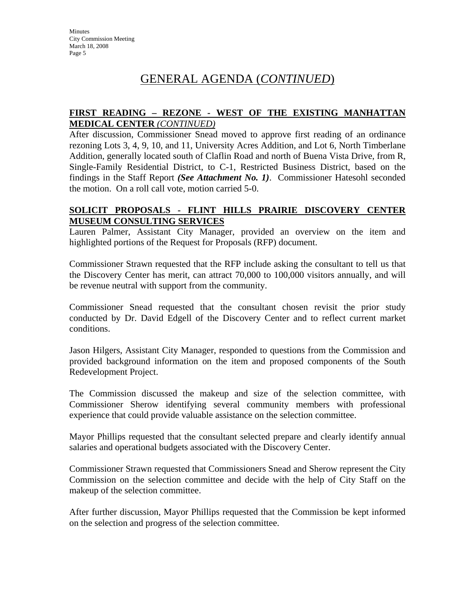# GENERAL AGENDA (*CONTINUED*)

## **FIRST READING – REZONE - WEST OF THE EXISTING MANHATTAN MEDICAL CENTER** *(CONTINUED)*

After discussion, Commissioner Snead moved to approve first reading of an ordinance rezoning Lots 3, 4, 9, 10, and 11, University Acres Addition, and Lot 6, North Timberlane Addition, generally located south of Claflin Road and north of Buena Vista Drive, from R, Single-Family Residential District, to C-1, Restricted Business District, based on the findings in the Staff Report *(See Attachment No. 1)*. Commissioner Hatesohl seconded the motion. On a roll call vote, motion carried 5-0.

### **SOLICIT PROPOSALS - FLINT HILLS PRAIRIE DISCOVERY CENTER MUSEUM CONSULTING SERVICES**

Lauren Palmer, Assistant City Manager, provided an overview on the item and highlighted portions of the Request for Proposals (RFP) document.

Commissioner Strawn requested that the RFP include asking the consultant to tell us that the Discovery Center has merit, can attract 70,000 to 100,000 visitors annually, and will be revenue neutral with support from the community.

Commissioner Snead requested that the consultant chosen revisit the prior study conducted by Dr. David Edgell of the Discovery Center and to reflect current market conditions.

Jason Hilgers, Assistant City Manager, responded to questions from the Commission and provided background information on the item and proposed components of the South Redevelopment Project.

The Commission discussed the makeup and size of the selection committee, with Commissioner Sherow identifying several community members with professional experience that could provide valuable assistance on the selection committee.

Mayor Phillips requested that the consultant selected prepare and clearly identify annual salaries and operational budgets associated with the Discovery Center.

Commissioner Strawn requested that Commissioners Snead and Sherow represent the City Commission on the selection committee and decide with the help of City Staff on the makeup of the selection committee.

After further discussion, Mayor Phillips requested that the Commission be kept informed on the selection and progress of the selection committee.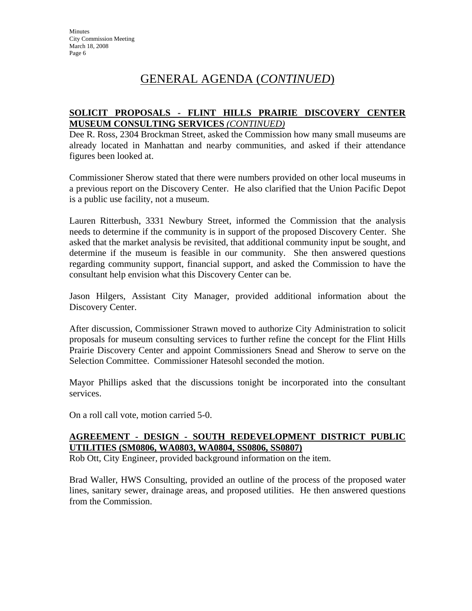# GENERAL AGENDA (*CONTINUED*)

## **SOLICIT PROPOSALS - FLINT HILLS PRAIRIE DISCOVERY CENTER MUSEUM CONSULTING SERVICES** *(CONTINUED)*

Dee R. Ross, 2304 Brockman Street, asked the Commission how many small museums are already located in Manhattan and nearby communities, and asked if their attendance figures been looked at.

Commissioner Sherow stated that there were numbers provided on other local museums in a previous report on the Discovery Center. He also clarified that the Union Pacific Depot is a public use facility, not a museum.

Lauren Ritterbush, 3331 Newbury Street, informed the Commission that the analysis needs to determine if the community is in support of the proposed Discovery Center. She asked that the market analysis be revisited, that additional community input be sought, and determine if the museum is feasible in our community. She then answered questions regarding community support, financial support, and asked the Commission to have the consultant help envision what this Discovery Center can be.

Jason Hilgers, Assistant City Manager, provided additional information about the Discovery Center.

After discussion, Commissioner Strawn moved to authorize City Administration to solicit proposals for museum consulting services to further refine the concept for the Flint Hills Prairie Discovery Center and appoint Commissioners Snead and Sherow to serve on the Selection Committee. Commissioner Hatesohl seconded the motion.

Mayor Phillips asked that the discussions tonight be incorporated into the consultant services.

On a roll call vote, motion carried 5-0.

## **AGREEMENT - DESIGN - SOUTH REDEVELOPMENT DISTRICT PUBLIC UTILITIES (SM0806, WA0803, WA0804, SS0806, SS0807)**

Rob Ott, City Engineer, provided background information on the item.

Brad Waller, HWS Consulting, provided an outline of the process of the proposed water lines, sanitary sewer, drainage areas, and proposed utilities. He then answered questions from the Commission.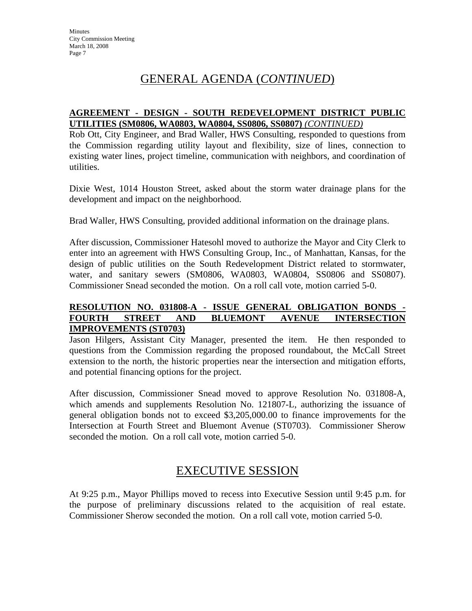## GENERAL AGENDA (*CONTINUED*)

### **AGREEMENT - DESIGN - SOUTH REDEVELOPMENT DISTRICT PUBLIC UTILITIES (SM0806, WA0803, WA0804, SS0806, SS0807)** *(CONTINUED)*

Rob Ott, City Engineer, and Brad Waller, HWS Consulting, responded to questions from the Commission regarding utility layout and flexibility, size of lines, connection to existing water lines, project timeline, communication with neighbors, and coordination of utilities.

Dixie West, 1014 Houston Street, asked about the storm water drainage plans for the development and impact on the neighborhood.

Brad Waller, HWS Consulting, provided additional information on the drainage plans.

After discussion, Commissioner Hatesohl moved to authorize the Mayor and City Clerk to enter into an agreement with HWS Consulting Group, Inc., of Manhattan, Kansas, for the design of public utilities on the South Redevelopment District related to stormwater, water, and sanitary sewers (SM0806, WA0803, WA0804, SS0806 and SS0807). Commissioner Snead seconded the motion. On a roll call vote, motion carried 5-0.

#### **RESOLUTION NO. 031808-A - ISSUE GENERAL OBLIGATION BONDS - FOURTH STREET AND BLUEMONT AVENUE INTERSECTION IMPROVEMENTS (ST0703)**

Jason Hilgers, Assistant City Manager, presented the item. He then responded to questions from the Commission regarding the proposed roundabout, the McCall Street extension to the north, the historic properties near the intersection and mitigation efforts, and potential financing options for the project.

After discussion, Commissioner Snead moved to approve Resolution No. 031808-A, which amends and supplements Resolution No. 121807-L, authorizing the issuance of general obligation bonds not to exceed \$3,205,000.00 to finance improvements for the Intersection at Fourth Street and Bluemont Avenue (ST0703). Commissioner Sherow seconded the motion. On a roll call vote, motion carried 5-0.

## EXECUTIVE SESSION

At 9:25 p.m., Mayor Phillips moved to recess into Executive Session until 9:45 p.m. for the purpose of preliminary discussions related to the acquisition of real estate. Commissioner Sherow seconded the motion. On a roll call vote, motion carried 5-0.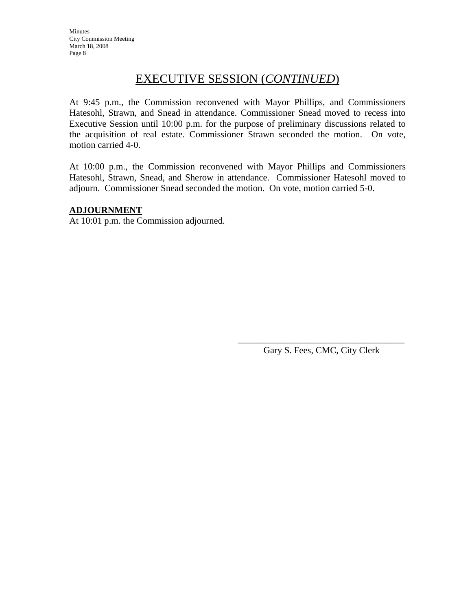## EXECUTIVE SESSION (*CONTINUED*)

At 9:45 p.m., the Commission reconvened with Mayor Phillips, and Commissioners Hatesohl, Strawn, and Snead in attendance. Commissioner Snead moved to recess into Executive Session until 10:00 p.m. for the purpose of preliminary discussions related to the acquisition of real estate. Commissioner Strawn seconded the motion. On vote, motion carried 4-0.

At 10:00 p.m., the Commission reconvened with Mayor Phillips and Commissioners Hatesohl, Strawn, Snead, and Sherow in attendance. Commissioner Hatesohl moved to adjourn. Commissioner Snead seconded the motion. On vote, motion carried 5-0.

 $\overline{\phantom{a}}$  , which is a set of the set of the set of the set of the set of the set of the set of the set of the set of the set of the set of the set of the set of the set of the set of the set of the set of the set of th

#### **ADJOURNMENT**

At 10:01 p.m. the Commission adjourned.

Gary S. Fees, CMC, City Clerk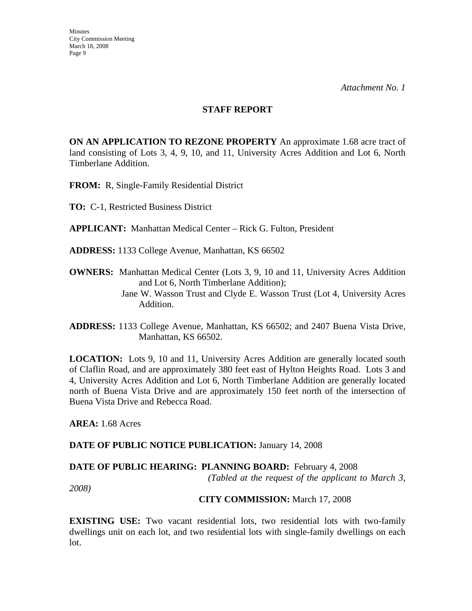*Attachment No. 1* 

#### **STAFF REPORT**

**ON AN APPLICATION TO REZONE PROPERTY** An approximate 1.68 acre tract of land consisting of Lots 3, 4, 9, 10, and 11, University Acres Addition and Lot 6, North Timberlane Addition.

**FROM:** R, Single-Family Residential District

**TO:** C-1, Restricted Business District

**APPLICANT:** Manhattan Medical Center – Rick G. Fulton, President

**ADDRESS:** 1133 College Avenue, Manhattan, KS 66502

**OWNERS:** Manhattan Medical Center (Lots 3, 9, 10 and 11, University Acres Addition and Lot 6, North Timberlane Addition);

> Jane W. Wasson Trust and Clyde E. Wasson Trust (Lot 4, University Acres Addition.

**LOCATION:** Lots 9, 10 and 11, University Acres Addition are generally located south of Claflin Road, and are approximately 380 feet east of Hylton Heights Road. Lots 3 and 4, University Acres Addition and Lot 6, North Timberlane Addition are generally located north of Buena Vista Drive and are approximately 150 feet north of the intersection of Buena Vista Drive and Rebecca Road.

**AREA:** 1.68 Acres

#### DATE OF PUBLIC NOTICE PUBLICATION: January 14, 2008

#### **DATE OF PUBLIC HEARING: PLANNING BOARD:** February 4, 2008

 *(Tabled at the request of the applicant to March 3,* 

*2008)* 

#### **CITY COMMISSION:** March 17, 2008

**EXISTING USE:** Two vacant residential lots, two residential lots with two-family dwellings unit on each lot, and two residential lots with single-family dwellings on each lot.

**ADDRESS:** 1133 College Avenue, Manhattan, KS 66502; and 2407 Buena Vista Drive, Manhattan, KS 66502.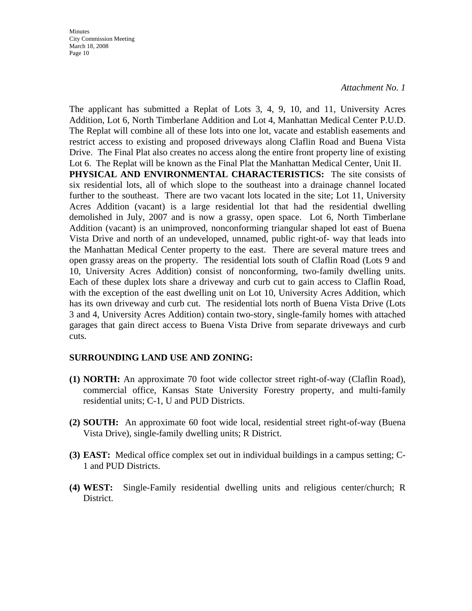*Attachment No. 1* 

The applicant has submitted a Replat of Lots 3, 4, 9, 10, and 11, University Acres Addition, Lot 6, North Timberlane Addition and Lot 4, Manhattan Medical Center P.U.D. The Replat will combine all of these lots into one lot, vacate and establish easements and restrict access to existing and proposed driveways along Claflin Road and Buena Vista Drive. The Final Plat also creates no access along the entire front property line of existing Lot 6. The Replat will be known as the Final Plat the Manhattan Medical Center, Unit II. **PHYSICAL AND ENVIRONMENTAL CHARACTERISTICS:** The site consists of six residential lots, all of which slope to the southeast into a drainage channel located further to the southeast. There are two vacant lots located in the site; Lot 11, University Acres Addition (vacant) is a large residential lot that had the residential dwelling demolished in July, 2007 and is now a grassy, open space. Lot 6, North Timberlane Addition (vacant) is an unimproved, nonconforming triangular shaped lot east of Buena Vista Drive and north of an undeveloped, unnamed, public right-of- way that leads into the Manhattan Medical Center property to the east. There are several mature trees and open grassy areas on the property. The residential lots south of Claflin Road (Lots 9 and 10, University Acres Addition) consist of nonconforming, two-family dwelling units. Each of these duplex lots share a driveway and curb cut to gain access to Claflin Road, with the exception of the east dwelling unit on Lot 10, University Acres Addition, which has its own driveway and curb cut. The residential lots north of Buena Vista Drive (Lots 3 and 4, University Acres Addition) contain two-story, single-family homes with attached garages that gain direct access to Buena Vista Drive from separate driveways and curb cuts.

## **SURROUNDING LAND USE AND ZONING:**

- **(1) NORTH:** An approximate 70 foot wide collector street right-of-way (Claflin Road), commercial office, Kansas State University Forestry property, and multi-family residential units; C-1, U and PUD Districts.
- **(2) SOUTH:** An approximate 60 foot wide local, residential street right-of-way (Buena Vista Drive), single-family dwelling units; R District.
- **(3) EAST:** Medical office complex set out in individual buildings in a campus setting; C-1 and PUD Districts.
- **(4) WEST:** Single-Family residential dwelling units and religious center/church; R District.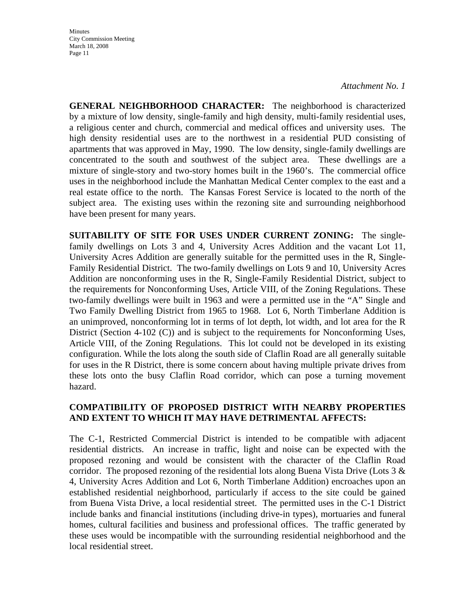*Attachment No. 1* 

**GENERAL NEIGHBORHOOD CHARACTER:** The neighborhood is characterized by a mixture of low density, single-family and high density, multi-family residential uses, a religious center and church, commercial and medical offices and university uses. The high density residential uses are to the northwest in a residential PUD consisting of apartments that was approved in May, 1990. The low density, single-family dwellings are concentrated to the south and southwest of the subject area. These dwellings are a mixture of single-story and two-story homes built in the 1960's. The commercial office uses in the neighborhood include the Manhattan Medical Center complex to the east and a real estate office to the north. The Kansas Forest Service is located to the north of the subject area. The existing uses within the rezoning site and surrounding neighborhood have been present for many years.

**SUITABILITY OF SITE FOR USES UNDER CURRENT ZONING:** The singlefamily dwellings on Lots 3 and 4, University Acres Addition and the vacant Lot 11, University Acres Addition are generally suitable for the permitted uses in the R, Single-Family Residential District. The two-family dwellings on Lots 9 and 10, University Acres Addition are nonconforming uses in the R, Single-Family Residential District, subject to the requirements for Nonconforming Uses, Article VIII, of the Zoning Regulations. These two-family dwellings were built in 1963 and were a permitted use in the "A" Single and Two Family Dwelling District from 1965 to 1968. Lot 6, North Timberlane Addition is an unimproved, nonconforming lot in terms of lot depth, lot width, and lot area for the R District (Section 4-102 (C)) and is subject to the requirements for Nonconforming Uses, Article VIII, of the Zoning Regulations. This lot could not be developed in its existing configuration. While the lots along the south side of Claflin Road are all generally suitable for uses in the R District, there is some concern about having multiple private drives from these lots onto the busy Claflin Road corridor, which can pose a turning movement hazard.

## **COMPATIBILITY OF PROPOSED DISTRICT WITH NEARBY PROPERTIES AND EXTENT TO WHICH IT MAY HAVE DETRIMENTAL AFFECTS:**

The C-1, Restricted Commercial District is intended to be compatible with adjacent residential districts. An increase in traffic, light and noise can be expected with the proposed rezoning and would be consistent with the character of the Claflin Road corridor. The proposed rezoning of the residential lots along Buena Vista Drive (Lots  $3 < x$ 4, University Acres Addition and Lot 6, North Timberlane Addition) encroaches upon an established residential neighborhood, particularly if access to the site could be gained from Buena Vista Drive, a local residential street. The permitted uses in the C-1 District include banks and financial institutions (including drive-in types), mortuaries and funeral homes, cultural facilities and business and professional offices. The traffic generated by these uses would be incompatible with the surrounding residential neighborhood and the local residential street.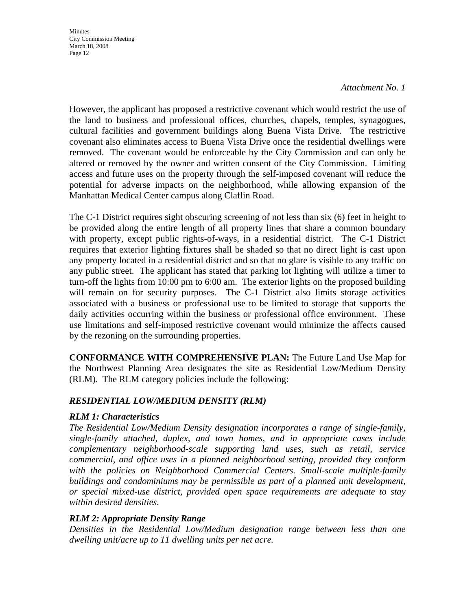#### *Attachment No. 1*

However, the applicant has proposed a restrictive covenant which would restrict the use of the land to business and professional offices, churches, chapels, temples, synagogues, cultural facilities and government buildings along Buena Vista Drive. The restrictive covenant also eliminates access to Buena Vista Drive once the residential dwellings were removed. The covenant would be enforceable by the City Commission and can only be altered or removed by the owner and written consent of the City Commission. Limiting access and future uses on the property through the self-imposed covenant will reduce the potential for adverse impacts on the neighborhood, while allowing expansion of the Manhattan Medical Center campus along Claflin Road.

The C-1 District requires sight obscuring screening of not less than six (6) feet in height to be provided along the entire length of all property lines that share a common boundary with property, except public rights-of-ways, in a residential district. The C-1 District requires that exterior lighting fixtures shall be shaded so that no direct light is cast upon any property located in a residential district and so that no glare is visible to any traffic on any public street. The applicant has stated that parking lot lighting will utilize a timer to turn-off the lights from 10:00 pm to 6:00 am. The exterior lights on the proposed building will remain on for security purposes. The C-1 District also limits storage activities associated with a business or professional use to be limited to storage that supports the daily activities occurring within the business or professional office environment. These use limitations and self-imposed restrictive covenant would minimize the affects caused by the rezoning on the surrounding properties.

**CONFORMANCE WITH COMPREHENSIVE PLAN:** The Future Land Use Map for the Northwest Planning Area designates the site as Residential Low/Medium Density (RLM). The RLM category policies include the following:

## *RESIDENTIAL LOW/MEDIUM DENSITY (RLM)*

## *RLM 1: Characteristics*

*The Residential Low/Medium Density designation incorporates a range of single-family, single-family attached, duplex, and town homes, and in appropriate cases include complementary neighborhood-scale supporting land uses, such as retail, service commercial, and office uses in a planned neighborhood setting, provided they conform*  with the policies on Neighborhood Commercial Centers. Small-scale multiple-family *buildings and condominiums may be permissible as part of a planned unit development, or special mixed-use district, provided open space requirements are adequate to stay within desired densities.* 

## *RLM 2: Appropriate Density Range*

*Densities in the Residential Low/Medium designation range between less than one dwelling unit/acre up to 11 dwelling units per net acre.*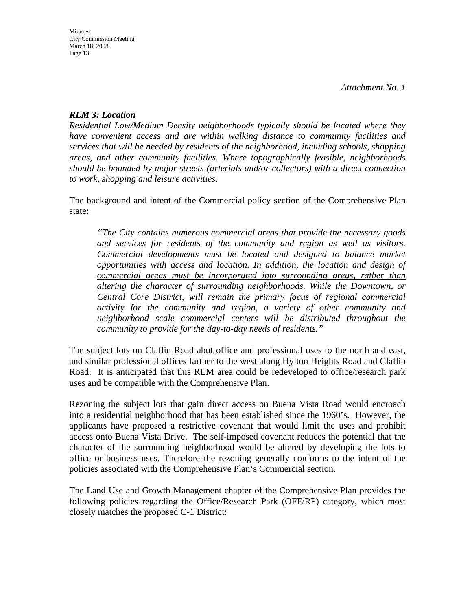*Attachment No. 1* 

### *RLM 3: Location*

*Residential Low/Medium Density neighborhoods typically should be located where they have convenient access and are within walking distance to community facilities and services that will be needed by residents of the neighborhood, including schools, shopping areas, and other community facilities. Where topographically feasible, neighborhoods should be bounded by major streets (arterials and/or collectors) with a direct connection to work, shopping and leisure activities.* 

The background and intent of the Commercial policy section of the Comprehensive Plan state:

*"The City contains numerous commercial areas that provide the necessary goods and services for residents of the community and region as well as visitors. Commercial developments must be located and designed to balance market opportunities with access and location. In addition, the location and design of commercial areas must be incorporated into surrounding areas, rather than altering the character of surrounding neighborhoods. While the Downtown, or Central Core District, will remain the primary focus of regional commercial activity for the community and region, a variety of other community and neighborhood scale commercial centers will be distributed throughout the community to provide for the day-to-day needs of residents."*

The subject lots on Claflin Road abut office and professional uses to the north and east, and similar professional offices farther to the west along Hylton Heights Road and Claflin Road. It is anticipated that this RLM area could be redeveloped to office/research park uses and be compatible with the Comprehensive Plan.

Rezoning the subject lots that gain direct access on Buena Vista Road would encroach into a residential neighborhood that has been established since the 1960's. However, the applicants have proposed a restrictive covenant that would limit the uses and prohibit access onto Buena Vista Drive. The self-imposed covenant reduces the potential that the character of the surrounding neighborhood would be altered by developing the lots to office or business uses. Therefore the rezoning generally conforms to the intent of the policies associated with the Comprehensive Plan's Commercial section.

The Land Use and Growth Management chapter of the Comprehensive Plan provides the following policies regarding the Office/Research Park (OFF/RP) category, which most closely matches the proposed C-1 District: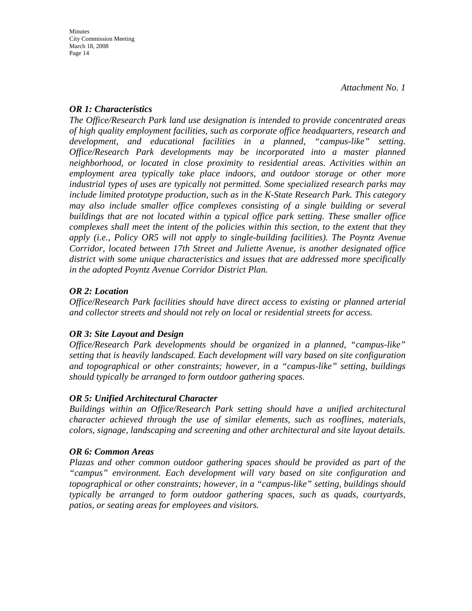*Attachment No. 1* 

### *OR 1: Characteristics*

*The Office/Research Park land use designation is intended to provide concentrated areas of high quality employment facilities, such as corporate office headquarters, research and development, and educational facilities in a planned, "campus-like" setting. Office/Research Park developments may be incorporated into a master planned neighborhood, or located in close proximity to residential areas. Activities within an employment area typically take place indoors, and outdoor storage or other more industrial types of uses are typically not permitted. Some specialized research parks may include limited prototype production, such as in the K-State Research Park. This category may also include smaller office complexes consisting of a single building or several buildings that are not located within a typical office park setting. These smaller office complexes shall meet the intent of the policies within this section, to the extent that they apply (i.e., Policy OR5 will not apply to single-building facilities). The Poyntz Avenue Corridor, located between 17th Street and Juliette Avenue, is another designated office district with some unique characteristics and issues that are addressed more specifically in the adopted Poyntz Avenue Corridor District Plan.* 

#### *OR 2: Location*

*Office/Research Park facilities should have direct access to existing or planned arterial and collector streets and should not rely on local or residential streets for access.* 

## *OR 3: Site Layout and Design*

*Office/Research Park developments should be organized in a planned, "campus-like" setting that is heavily landscaped. Each development will vary based on site configuration and topographical or other constraints; however, in a "campus-like" setting, buildings should typically be arranged to form outdoor gathering spaces.* 

#### *OR 5: Unified Architectural Character*

*Buildings within an Office/Research Park setting should have a unified architectural character achieved through the use of similar elements, such as rooflines, materials, colors, signage, landscaping and screening and other architectural and site layout details.* 

#### *OR 6: Common Areas*

*Plazas and other common outdoor gathering spaces should be provided as part of the "campus" environment. Each development will vary based on site configuration and topographical or other constraints; however, in a "campus-like" setting, buildings should typically be arranged to form outdoor gathering spaces, such as quads, courtyards, patios, or seating areas for employees and visitors.*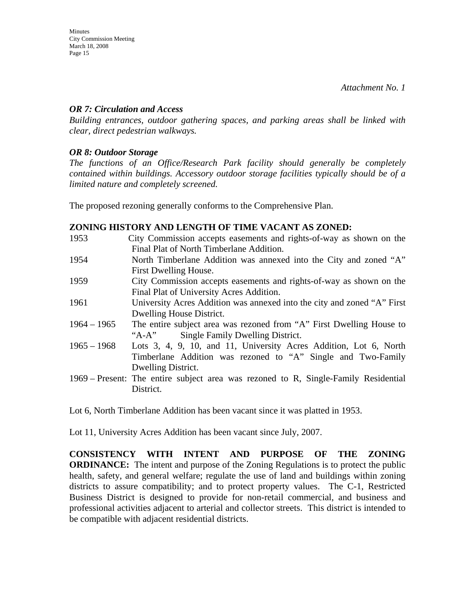*Attachment No. 1* 

### *OR 7: Circulation and Access*

*Building entrances, outdoor gathering spaces, and parking areas shall be linked with clear, direct pedestrian walkways.* 

## *OR 8: Outdoor Storage*

*The functions of an Office/Research Park facility should generally be completely contained within buildings. Accessory outdoor storage facilities typically should be of a limited nature and completely screened.* 

The proposed rezoning generally conforms to the Comprehensive Plan.

## **ZONING HISTORY AND LENGTH OF TIME VACANT AS ZONED:**

| 1953          | City Commission accepts easements and rights-of-way as shown on the                 |
|---------------|-------------------------------------------------------------------------------------|
|               | Final Plat of North Timberlane Addition.                                            |
| 1954          | North Timberlane Addition was annexed into the City and zoned "A"                   |
|               | First Dwelling House.                                                               |
| 1959          | City Commission accepts easements and rights-of-way as shown on the                 |
|               | Final Plat of University Acres Addition.                                            |
| 1961          | University Acres Addition was annexed into the city and zoned "A" First             |
|               | Dwelling House District.                                                            |
| $1964 - 1965$ | The entire subject area was rezoned from "A" First Dwelling House to                |
|               | "A-A" Single Family Dwelling District.                                              |
| $1965 - 1968$ | Lots 3, 4, 9, 10, and 11, University Acres Addition, Lot 6, North                   |
|               | Timberlane Addition was rezoned to "A" Single and Two-Family                        |
|               | Dwelling District.                                                                  |
|               | 1969 – Present: The entire subject area was rezoned to R, Single-Family Residential |
|               | District.                                                                           |

Lot 6, North Timberlane Addition has been vacant since it was platted in 1953.

Lot 11, University Acres Addition has been vacant since July, 2007.

**CONSISTENCY WITH INTENT AND PURPOSE OF THE ZONING ORDINANCE:** The intent and purpose of the Zoning Regulations is to protect the public health, safety, and general welfare; regulate the use of land and buildings within zoning districts to assure compatibility; and to protect property values. The C-1, Restricted Business District is designed to provide for non-retail commercial, and business and professional activities adjacent to arterial and collector streets. This district is intended to be compatible with adjacent residential districts.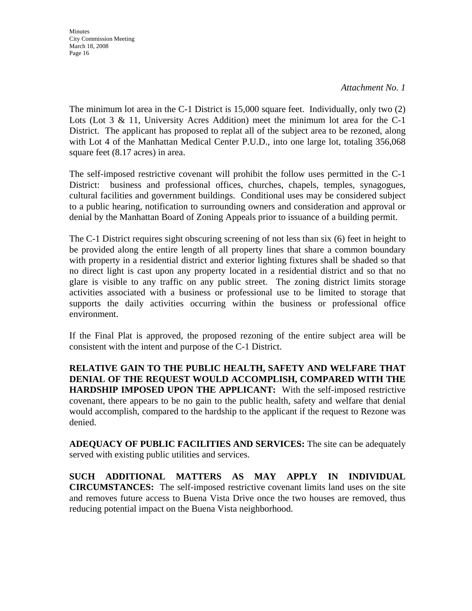*Attachment No. 1* 

The minimum lot area in the C-1 District is 15,000 square feet. Individually, only two (2) Lots (Lot 3 & 11, University Acres Addition) meet the minimum lot area for the C-1 District. The applicant has proposed to replat all of the subject area to be rezoned, along with Lot 4 of the Manhattan Medical Center P.U.D., into one large lot, totaling 356,068 square feet (8.17 acres) in area.

The self-imposed restrictive covenant will prohibit the follow uses permitted in the C-1 District: business and professional offices, churches, chapels, temples, synagogues, cultural facilities and government buildings. Conditional uses may be considered subject to a public hearing, notification to surrounding owners and consideration and approval or denial by the Manhattan Board of Zoning Appeals prior to issuance of a building permit.

The C-1 District requires sight obscuring screening of not less than six (6) feet in height to be provided along the entire length of all property lines that share a common boundary with property in a residential district and exterior lighting fixtures shall be shaded so that no direct light is cast upon any property located in a residential district and so that no glare is visible to any traffic on any public street. The zoning district limits storage activities associated with a business or professional use to be limited to storage that supports the daily activities occurring within the business or professional office environment.

If the Final Plat is approved, the proposed rezoning of the entire subject area will be consistent with the intent and purpose of the C-1 District.

**RELATIVE GAIN TO THE PUBLIC HEALTH, SAFETY AND WELFARE THAT DENIAL OF THE REQUEST WOULD ACCOMPLISH, COMPARED WITH THE HARDSHIP IMPOSED UPON THE APPLICANT:** With the self-imposed restrictive covenant, there appears to be no gain to the public health, safety and welfare that denial would accomplish, compared to the hardship to the applicant if the request to Rezone was denied.

**ADEQUACY OF PUBLIC FACILITIES AND SERVICES:** The site can be adequately served with existing public utilities and services.

**SUCH ADDITIONAL MATTERS AS MAY APPLY IN INDIVIDUAL CIRCUMSTANCES:** The self-imposed restrictive covenant limits land uses on the site and removes future access to Buena Vista Drive once the two houses are removed, thus reducing potential impact on the Buena Vista neighborhood.